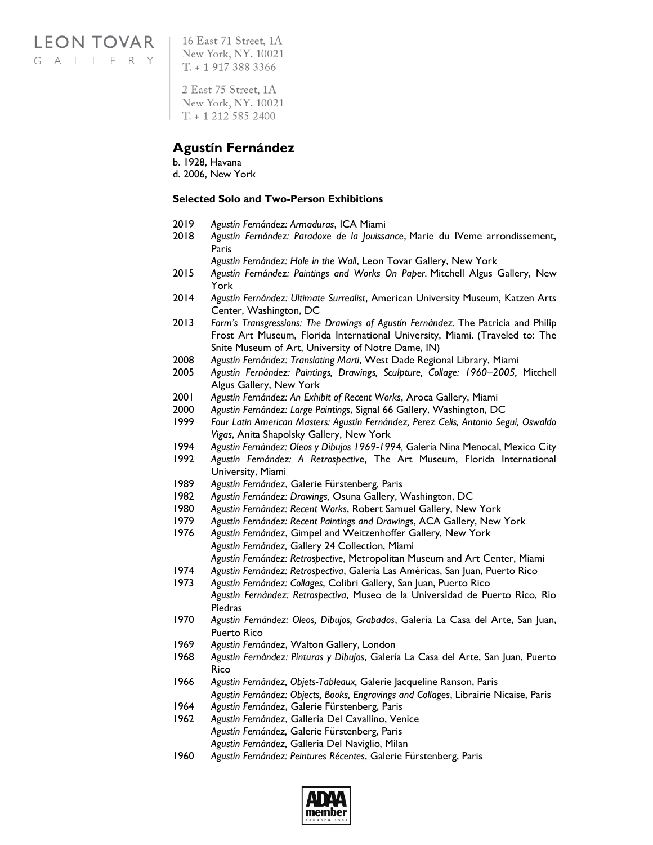**LEON TOVAR** GALLERY

16 East 71 Street, 1A New York, NY. 10021  $T. + 19173883366$ 

2 East 75 Street, 1A New York, NY. 10021  $T. + 12125852400$ 

### **Agustín Fernández**

b. 1928, Havana d. 2006, New York

### **Selected Solo and Two-Person Exhibitions**

- 2019 *Agustín Fernández: Armaduras*, ICA Miami
- 2018 *Agustín Fernández: Paradoxe de la Jouissance*, Marie du IVeme arrondissement, Paris
	- *Agustín Fernández: Hole in the Wall*, Leon Tovar Gallery, New York
- 2015 *Agustín Fernández: Paintings and Works On Paper.* Mitchell Algus Gallery, New York
- 2014 *Agustín Fernández: Ultimate Surrealist*, American University Museum, Katzen Arts Center, Washington, DC
- 2013 *Form's Transgressions: The Drawings of Agustín Fernández.* The Patricia and Philip Frost Art Museum, Florida International University, Miami. (Traveled to: The Snite Museum of Art, University of Notre Dame, IN)
- 2008 *Agustín Fernández: Translating Marti*, West Dade Regional Library, Miami
- 2005 *Agustín Fernández: Paintings, Drawings, Sculpture, Collage: 1960–2005,* Mitchell Algus Gallery, New York
- 2001 *Agustín Fernández: An Exhibit of Recent Works*, Aroca Gallery, Miami
- 2000 *Agustín Fernández: Large Paintings*, Signal 66 Gallery, Washington, DC
- 1999 *Four Latin American Masters: Agustín Fernández, Perez Celis, Antonio Seguí, Oswaldo Vigas*, Anita Shapolsky Gallery, New York
- 1994 *Agustín Fernández: Oleos y Dibujos 1969-1994,* Galería Nina Menocal, Mexico City
- 1992 *Agustín Fernández: A Retrospectiv*e, The Art Museum, Florida International University, Miami
- 1989 *Agustín Fernández*, Galerie Fürstenberg, Paris
- 1982 *Agustín Fernández: Drawings,* Osuna Gallery, Washington, DC
- 1980 *Agustín Fernández: Recent Works*, Robert Samuel Gallery, New York
- 1979 *Agustín Fernández: Recent Paintings and Drawings*, ACA Gallery, New York
- 1976 *Agustín Fernández*, Gimpel and Weitzenhoffer Gallery, New York *Agustín Fernández,* Gallery 24 Collection, Miami *Agustín Fernández: Retrospective*, Metropolitan Museum and Art Center, Miami
- 1974 *Agustín Fernández: Retrospectiva*, Galería Las Américas, San Juan, Puerto Rico
- 1973 *Agustín Fernández: Collages*, Colibri Gallery, San Juan, Puerto Rico
- *Agustín Fernández: Retrospectiva*, Museo de la Universidad de Puerto Rico, Rio Piedras
- 1970 *Agustín Fernández: Oleos, Dibujos, Grabados*, Galería La Casa del Arte, San Juan, Puerto Rico
- 1969 *Agustín Fernández*, Walton Gallery, London
- 1968 *Agustín Fernández: Pinturas y Dibujos*, Galería La Casa del Arte, San Juan, Puerto Rico
- 1966 *Agustín Fernández, Objets-Tableaux,* Galerie Jacqueline Ranson, Paris *Agustín Fernández: Objects, Books, Engravings and Collages*, Librairie Nicaise, Paris
- 1964 *Agustín Fernández*, Galerie Fürstenberg, Paris
- 1962 *Agustín Fernández*, Galleria Del Cavallino, Venice *Agustín Fernández,* Galerie Fürstenberg, Paris *Agustín Fernández,* Galleria Del Naviglio, Milan
- 1960 *Agustín Fernández: Peintures Récentes*, Galerie Fürstenberg, Paris

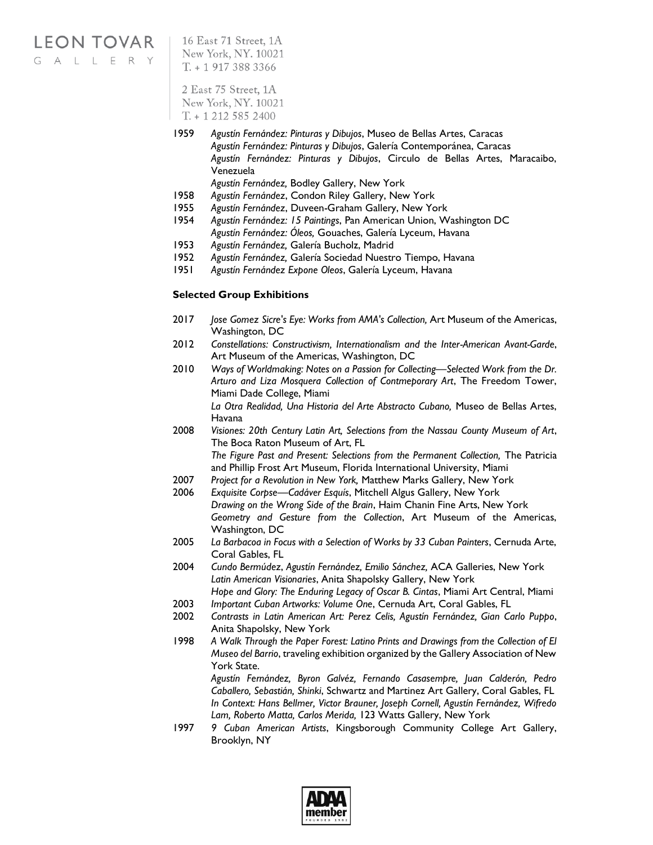# **LEON TOVAR**

GALLERY

16 East 71 Street, 1A New York, NY. 10021  $T. + 19173883366$ 

2 East 75 Street, 1A New York, NY. 10021  $T. + 12125852400$ 

- 1959 *Agustín Fernández: Pinturas y Dibujos*, Museo de Bellas Artes, Caracas *Agustín Fernández: Pinturas y Dibujos*, Galería Contemporánea, Caracas *Agustín Fernández: Pinturas y Dibujos*, Circulo de Bellas Artes, Maracaibo, Venezuela
	- *Agustín Fernández,* Bodley Gallery, New York
- 1958 *Agustín Fernández*, Condon Riley Gallery, New York
- 1955 *Agustín Fernández*, Duveen-Graham Gallery, New York
- 1954 *Agustín Fernández: 15 Paintings*, Pan American Union, Washington DC *Agustín Fernández: Óleos,* Gouaches, Galería Lyceum, Havana
- 1953 *Agustín Fernández,* Galería Bucholz, Madrid
- 1952 *Agustín Fernández,* Galería Sociedad Nuestro Tiempo, Havana
- 1951 *Agustín Fernández Expone Oleos*, Galería Lyceum, Havana

#### **Selected Group Exhibitions**

- 2017 *Jose Gomez Sicre's Eye: Works from AMA's Collection,* Art Museum of the Americas, Washington, DC
- 2012 *Constellations: Constructivism, Internationalism and the Inter-American Avant-Garde*, Art Museum of the Americas, Washington, DC
- 2010 *Ways of Worldmaking: Notes on a Passion for Collecting—Selected Work from the Dr. Arturo and Liza Mosquera Collection of Contmeporary Art*, The Freedom Tower, Miami Dade College, Miami

*La Otra Realidad, Una Historia del Arte Abstracto Cubano,* Museo de Bellas Artes, Havana

2008 *Visiones: 20th Century Latin Art, Selections from the Nassau County Museum of Art*, The Boca Raton Museum of Art, FL *The Figure Past and Present: Selections from the Permanent Collection,* The Patricia

and Phillip Frost Art Museum, Florida International University, Miami

- 2007 *Project for a Revolution in New York,* Matthew Marks Gallery, New York
- 2006 *Exquisite Corpse—Cadáver Esquís*, Mitchell Algus Gallery, New York *Drawing on the Wrong Side of the Brain*, Haim Chanin Fine Arts, New York *Geometry and Gesture from the Collection*, Art Museum of the Americas, Washington, DC
- 2005 *La Barbacoa in Focus with a Selection of Works by 33 Cuban Painters*, Cernuda Arte, Coral Gables, FL
- 2004 *Cundo Bermúdez*, *Agustín Fernández, Emilio Sánchez,* ACA Galleries, New York *Latin American Visionaries*, Anita Shapolsky Gallery, New York

*Hope and Glory: The Enduring Legacy of Oscar B. Cintas*, Miami Art Central, Miami

- 2003 *Important Cuban Artworks: Volume One*, Cernuda Art, Coral Gables, FL
- 2002 *Contrasts in Latin American Art: Perez Celis, Agustín Fernández, Gian Carlo Puppo*, Anita Shapolsky, New York
- 1998 *A Walk Through the Paper Forest: Latino Prints and Drawings from the Collection of El Museo del Barrio*, traveling exhibition organized by the Gallery Association of New York State.

*Agustín Fernández, Byron Galvéz, Fernando Casasempre, Juan Calderón, Pedro Caballero, Sebastián, Shinki*, Schwartz and Martinez Art Gallery, Coral Gables, FL *In Context: Hans Bellmer, Victor Brauner, Joseph Cornell, Agustín Fernández, Wifredo Lam, Roberto Matta, Carlos Merida,* 123 Watts Gallery, New York

1997 *9 Cuban American Artists*, Kingsborough Community College Art Gallery, Brooklyn, NY

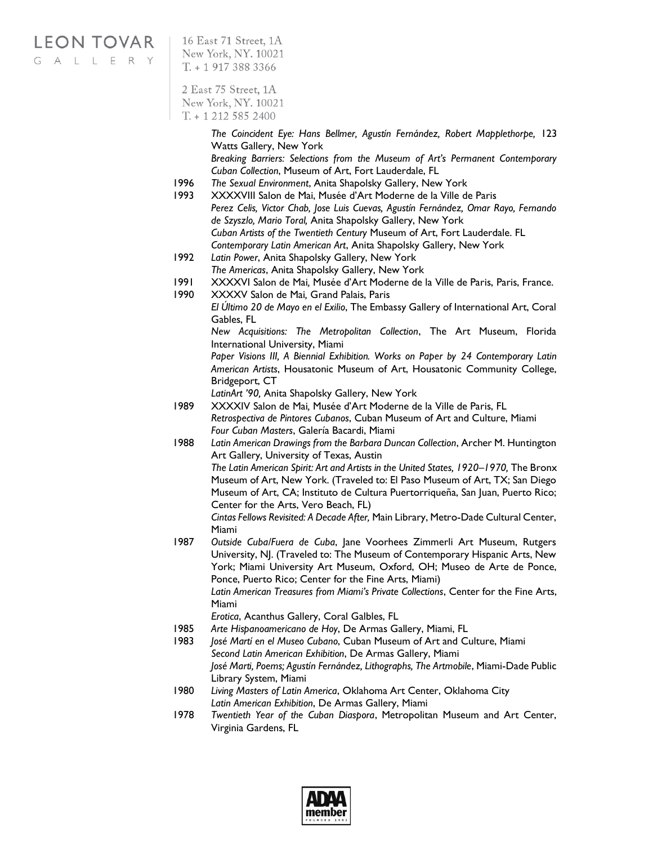## **LEON TOVAR**

GALLERY

16 East 71 Street, 1A New York, NY. 10021  $T. + 19173883366$ 

2 East 75 Street, 1A New York, NY. 10021  $T. + 12125852400$ 

> *The Coincident Eye: Hans Bellmer, Agustín Fernández, Robert Mapplethorpe,* 123 Watts Gallery, New York *Breaking Barriers: Selections from the Museum of Art's Permanent Contemporary*

- *Cuban Collection*, Museum of Art, Fort Lauderdale, FL 1996 *The Sexual Environment*, Anita Shapolsky Gallery, New York
- 1993 XXXXVIII Salon de Mai, Musée d'Art Moderne de la Ville de Paris *Perez Celis, Victor Chab, Jose Luis Cuevas, Agustín Fernández, Omar Rayo, Fernando de Szyszlo, Mario Toral,* Anita Shapolsky Gallery, New York *Cuban Artists of the Twentieth Century* Museum of Art, Fort Lauderdale. FL *Contemporary Latin American Art*, Anita Shapolsky Gallery, New York
- 1992 *Latin Power*, Anita Shapolsky Gallery, New York *The Americas*, Anita Shapolsky Gallery, New York
- 1991 XXXXVI Salon de Mai*,* Musée d'Art Moderne de la Ville de Paris, Paris, France.
- 1990 XXXXV Salon de Mai*,* Grand Palais, Paris
	- *El Último 20 de Mayo en el Exilio*, The Embassy Gallery of International Art, Coral Gables, FL

*New Acquisitions: The Metropolitan Collection*, The Art Museum, Florida International University, Miami

Paper Visions III, A Biennial Exhibition. Works on Paper by 24 Contemporary Latin *American Artists*, Housatonic Museum of Art, Housatonic Community College, Bridgeport, CT

*LatinArt '90,* Anita Shapolsky Gallery, New York

- 1989 XXXXIV Salon de Mai*,* Musée d'Art Moderne de la Ville de Paris, FL *Retrospectiva de Pintores Cubanos*, Cuban Museum of Art and Culture, Miami *Four Cuban Masters*, Galería Bacardi, Miami
- 1988 *Latin American Drawings from the Barbara Duncan Collection*, Archer M. Huntington Art Gallery, University of Texas, Austin

*The Latin American Spirit: Art and Artists in the United States, 1920–1970,* The Bronx Museum of Art, New York. (Traveled to: El Paso Museum of Art, TX; San Diego Museum of Art, CA; Instituto de Cultura Puertorriqueña, San Juan, Puerto Rico; Center for the Arts, Vero Beach, FL)

*Cintas Fellows Revisited: A Decade After,* Main Library, Metro-Dade Cultural Center, Miami

1987 *Outside Cuba/Fuera de Cuba*, Jane Voorhees Zimmerli Art Museum, Rutgers University, NJ. (Traveled to: The Museum of Contemporary Hispanic Arts, New York; Miami University Art Museum, Oxford, OH; Museo de Arte de Ponce, Ponce, Puerto Rico; Center for the Fine Arts, Miami) *Latin American Treasures from Miami's Private Collections*, Center for the Fine Arts,

Miami

*Erotica*, Acanthus Gallery, Coral Galbles, FL

- 1985 *Arte Hispanoamericano de Hoy*, De Armas Gallery, Miami, FL
- 1983 *José Martí en el Museo Cubano*, Cuban Museum of Art and Culture, Miami *Second Latin American Exhibition*, De Armas Gallery, Miami *José Marti, Poems; Agustín Fernández, Lithographs, The Artmobile*, Miami-Dade Public Library System, Miami
- 1980 *Living Masters of Latin America*, Oklahoma Art Center, Oklahoma City *Latin American Exhibition*, De Armas Gallery, Miami
- 1978 *Twentieth Year of the Cuban Diaspora*, Metropolitan Museum and Art Center, Virginia Gardens, FL

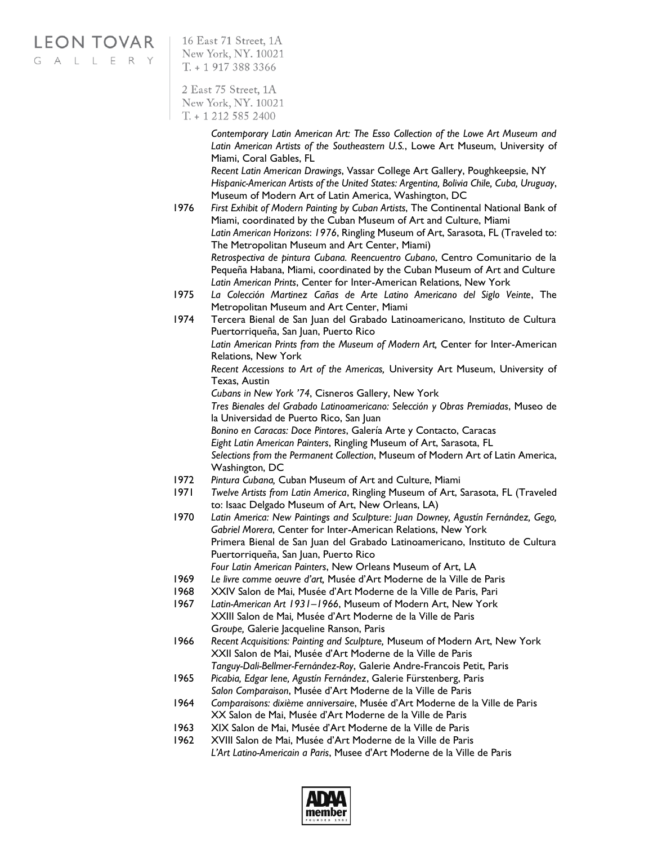**LEON TOVAR** 

GALLERY

16 East 71 Street, 1A New York, NY. 10021  $T. + 19173883366$ 

2 East 75 Street, 1A New York, NY. 10021  $T. + 12125852400$ 

> *Contemporary Latin American Art: The Esso Collection of the Lowe Art Museum and Latin American Artists of the Southeastern U.S.*, Lowe Art Museum, University of Miami, Coral Gables, FL

> *Recent Latin American Drawings*, Vassar College Art Gallery, Poughkeepsie, NY *Hispanic-American Artists of the United States: Argentina, Bolivia Chile, Cuba, Uruguay*, Museum of Modern Art of Latin America, Washington, DC

1976 *First Exhibit of Modern Painting by Cuban Artists*, The Continental National Bank of Miami, coordinated by the Cuban Museum of Art and Culture, Miami *Latin American Horizons*: *1976*, Ringling Museum of Art, Sarasota, FL (Traveled to: The Metropolitan Museum and Art Center, Miami)

*Retrospectiva de pintura Cubana. Reencuentro Cubano*, Centro Comunitario de la Pequeña Habana, Miami, coordinated by the Cuban Museum of Art and Culture *Latin American Prints*, Center for Inter-American Relations, New York

- 1975 *La Colección Martinez Cañas de Arte Latino Americano del Siglo Veinte*, The Metropolitan Museum and Art Center, Miami
- 1974 Tercera Bienal de San Juan del Grabado Latinoamericano, Instituto de Cultura Puertorriqueña, San Juan, Puerto Rico

*Latin American Prints from the Museum of Modern Art,* Center for Inter-American Relations, New York

*Recent Accessions to Art of the Americas,* University Art Museum, University of Texas, Austin

*Cubans in New York '74*, Cisneros Gallery, New York

*Tres Bienales del Grabado Latinoamericano: Selección y Obras Premiadas*, Museo de la Universidad de Puerto Rico, San Juan *Bonino en Caracas: Doce Pintores*, Galería Arte y Contacto, Caracas

*Eight Latin American Painters*, Ringling Museum of Art, Sarasota, FL

*Selections from the Permanent Collection*, Museum of Modern Art of Latin America, Washington, DC

- 1972 *Pintura Cubana,* Cuban Museum of Art and Culture, Miami
- 1971 *Twelve Artists from Latin America*, Ringling Museum of Art, Sarasota, FL (Traveled to: Isaac Delgado Museum of Art, New Orleans, LA)
- 1970 *Latin America: New Paintings and Sculpture*: *Juan Downey, Agustín Fernández, Gego, Gabriel Morera*, Center for Inter-American Relations, New York Primera Bienal de San Juan del Grabado Latinoamericano, Instituto de Cultura Puertorriqueña, San Juan, Puerto Rico *Four Latin American Painters*, New Orleans Museum of Art, LA
- 1969 *Le livre comme oeuvre d'art,* Musée d'Art Moderne de la Ville de Paris
- 1968 XXIV Salon de Mai, Musée d'Art Moderne de la Ville de Paris, Pari
- 1967 *Latin-American Art 1931–1966*, Museum of Modern Art, New York XXIII Salon de Mai*,* Musée d'Art Moderne de la Ville de Paris G*roupe,* Galerie Jacqueline Ranson, Paris
- 1966 *Recent Acquisitions: Painting and Sculpture,* Museum of Modern Art, New York XXII Salon de Mai, Musée d'Art Moderne de la Ville de Paris
- *Tanguy-Dali-Bellmer-Fernández-Roy*, Galerie Andre-Francois Petit, Paris 1965 *Picabia, Edgar Iene, Agustín Fernández*, Galerie Fürstenberg, Paris
- *Salon Comparaison*, Musée d'Art Moderne de la Ville de Paris 1964 *Comparaisons: dixième anniversaire*, Musée d'Art Moderne de la Ville de Paris XX Salon de Mai, Musée d'Art Moderne de la Ville de Paris
- 1963 XIX Salon de Mai, Musée d'Art Moderne de la Ville de Paris
- 1962 XVIII Salon de Mai, Musée d'Art Moderne de la Ville de Paris

*L'Art Latino-Americain a Paris*, Musee d'Art Moderne de la Ville de Paris

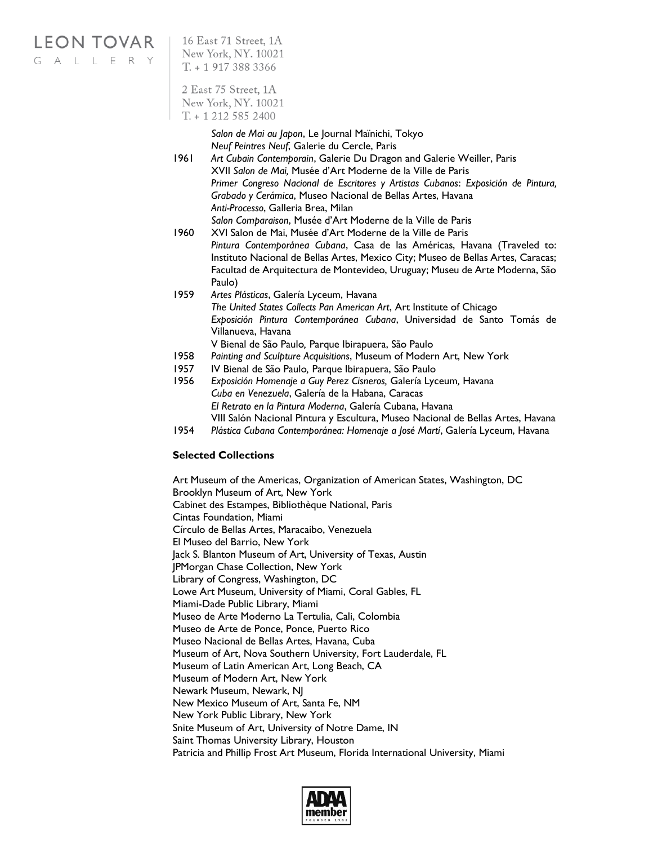# LEON TOVAR | 16 East 71 Street, 1A

G A L L E R Y

New York, NY. 10021  $T + 19173883366$ 

2 East 75 Street, 1A New York, NY. 10021  $T. + 12125852400$ 

> *Salon de Mai au Japon*, Le Journal Maïnichi, Tokyo *Neuf Peintres Neuf*, Galerie du Cercle, Paris

- 1961 *Art Cubain Contemporain*, Galerie Du Dragon and Galerie Weiller, Paris XVII *Salon de Mai,* Musée d'Art Moderne de la Ville de Paris *Primer Congreso Nacional de Escritores y Artistas Cubanos*: *Exposición de Pintura, Grabado y Cerámica*, Museo Nacional de Bellas Artes, Havana *Anti-Processo*, Galleria Brea, Milan *Salon Comparaison*, Musée d'Art Moderne de la Ville de Paris
- 1960 XVI Salon de Mai, Musée d'Art Moderne de la Ville de Paris *Pintura Contemporánea Cubana*, Casa de las Américas, Havana (Traveled to: Instituto Nacional de Bellas Artes, Mexico City; Museo de Bellas Artes, Caracas; Facultad de Arquitectura de Montevideo, Uruguay; Museu de Arte Moderna, São Paulo)
- 1959 *Artes Plásticas*, Galería Lyceum, Havana *The United States Collects Pan American Art*, Art Institute of Chicago *Exposición Pintura Contemporánea Cubana*, Universidad de Santo Tomás de Villanueva, Havana V Bienal de São Paulo*,* Parque Ibirapuera, São Paulo
- 1958 *Painting and Sculpture Acquisitions*, Museum of Modern Art, New York
- 1957 IV Bienal de São Paulo*,* Parque Ibirapuera, São Paulo
- 1956 *Exposición Homenaje a Guy Perez Cisneros,* Galería Lyceum*,* Havana *Cuba en Venezuela*, Galería de la Habana, Caracas *El Retrato en la Pintura Moderna*, Galería Cubana, Havana VIII Salón Nacional Pintura y Escultura, Museo Nacional de Bellas Artes, Havana
- 1954 *Plástica Cubana Contemporánea: Homenaje a José Martí*, Galería Lyceum, Havana

#### **Selected Collections**

Art Museum of the Americas, Organization of American States, Washington, DC Brooklyn Museum of Art, New York Cabinet des Estampes, Bibliothèque National, Paris Cintas Foundation, Miami Círculo de Bellas Artes, Maracaibo, Venezuela El Museo del Barrio, New York Jack S. Blanton Museum of Art, University of Texas, Austin JPMorgan Chase Collection, New York Library of Congress, Washington, DC Lowe Art Museum, University of Miami, Coral Gables, FL Miami-Dade Public Library, Miami Museo de Arte Moderno La Tertulia, Cali, Colombia Museo de Arte de Ponce, Ponce, Puerto Rico Museo Nacional de Bellas Artes, Havana, Cuba Museum of Art, Nova Southern University, Fort Lauderdale, FL Museum of Latin American Art, Long Beach, CA Museum of Modern Art, New York Newark Museum, Newark, NJ New Mexico Museum of Art, Santa Fe, NM New York Public Library, New York Snite Museum of Art, University of Notre Dame, IN Saint Thomas University Library, Houston Patricia and Phillip Frost Art Museum, Florida International University, Miami